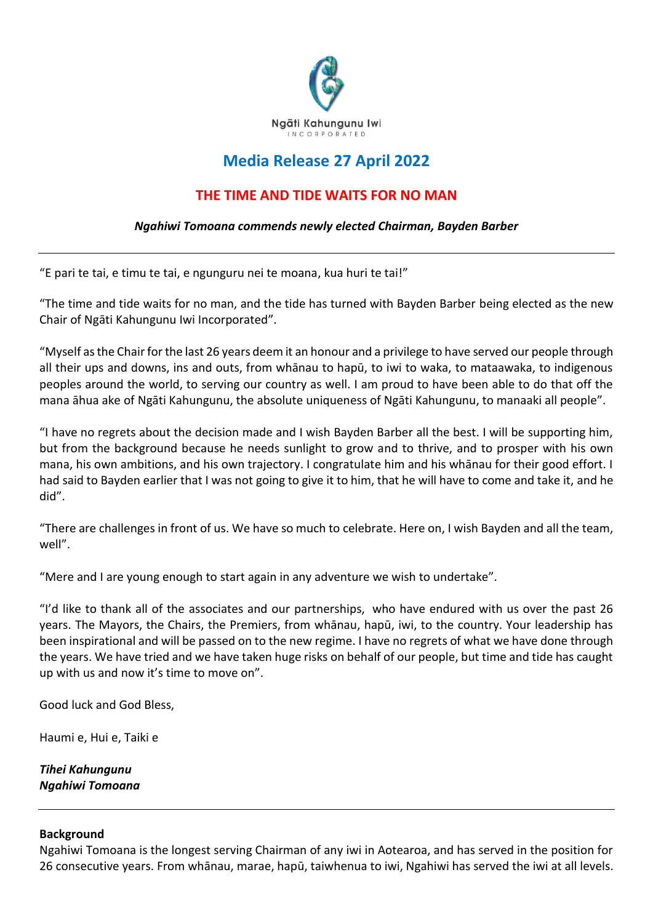

## **Media Release 27 April 2022**

## **THE TIME AND TIDE WAITS FOR NO MAN**

## *Ngahiwi Tomoana commends newly elected Chairman, Bayden Barber*

"E pari te tai, e timu te tai, e ngunguru nei te moana, kua huri te tai!"

"The time and tide waits for no man, and the tide has turned with Bayden Barber being elected as the new Chair of Ngāti Kahungunu Iwi Incorporated".

"Myself as the Chair for the last 26 years deem it an honour and a privilege to have served our people through all their ups and downs, ins and outs, from whānau to hapū, to iwi to waka, to mataawaka, to indigenous peoples around the world, to serving our country as well. I am proud to have been able to do that off the mana āhua ake of Ngāti Kahungunu, the absolute uniqueness of Ngāti Kahungunu, to manaaki all people".

"I have no regrets about the decision made and I wish Bayden Barber all the best. I will be supporting him, but from the background because he needs sunlight to grow and to thrive, and to prosper with his own mana, his own ambitions, and his own trajectory. I congratulate him and his whānau for their good effort. I had said to Bayden earlier that I was not going to give it to him, that he will have to come and take it, and he did".

"There are challenges in front of us. We have so much to celebrate. Here on, I wish Bayden and all the team, well".

"Mere and I are young enough to start again in any adventure we wish to undertake".

"I'd like to thank all of the associates and our partnerships, who have endured with us over the past 26 years. The Mayors, the Chairs, the Premiers, from whānau, hapū, iwi, to the country. Your leadership has been inspirational and will be passed on to the new regime. I have no regrets of what we have done through the years. We have tried and we have taken huge risks on behalf of our people, but time and tide has caught up with us and now it's time to move on".

Good luck and God Bless,

Haumi e, Hui e, Taiki e

*Tihei Kahungunu Ngahiwi Tomoana* 

## **Background**

Ngahiwi Tomoana is the longest serving Chairman of any iwi in Aotearoa, and has served in the position for 26 consecutive years. From whānau, marae, hapū, taiwhenua to iwi, Ngahiwi has served the iwi at all levels.